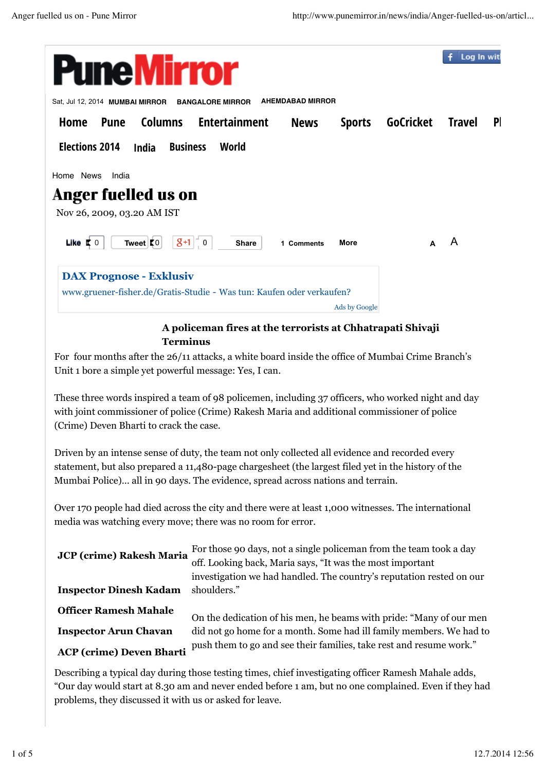

### **A policeman fires at the terrorists at Chhatrapati Shivaji Terminus**

For four months after the 26/11 attacks, a white board inside the office of Mumbai Crime Branch's Unit 1 bore a simple yet powerful message: Yes, I can.

These three words inspired a team of 98 policemen, including 37 officers, who worked night and day with joint commissioner of police (Crime) Rakesh Maria and additional commissioner of police (Crime) Deven Bharti to crack the case.

Driven by an intense sense of duty, the team not only collected all evidence and recorded every statement, but also prepared a 11,480-page chargesheet (the largest filed yet in the history of the Mumbai Police)… all in 90 days. The evidence, spread across nations and terrain.

Over 170 people had died across the city and there were at least 1,000 witnesses. The international media was watching every move; there was no room for error.

| <b>JCP</b> (crime) Rakesh Maria | For those 90 days, not a single policeman from the team took a day   |
|---------------------------------|----------------------------------------------------------------------|
|                                 | off. Looking back, Maria says, "It was the most important            |
|                                 | investigation we had handled. The country's reputation rested on our |
| <b>Inspector Dinesh Kadam</b>   | shoulders."                                                          |
| <b>Officer Ramesh Mahale</b>    | On the dedication of his men, he beams with pride: "Many of our men  |
| <b>Inspector Arun Chavan</b>    | did not go home for a month. Some had ill family members. We had to  |
| <b>ACP</b> (crime) Deven Bharti | push them to go and see their families, take rest and resume work."  |

Describing a typical day during those testing times, chief investigating officer Ramesh Mahale adds, "Our day would start at 8.30 am and never ended before 1 am, but no one complained. Even if they had problems, they discussed it with us or asked for leave.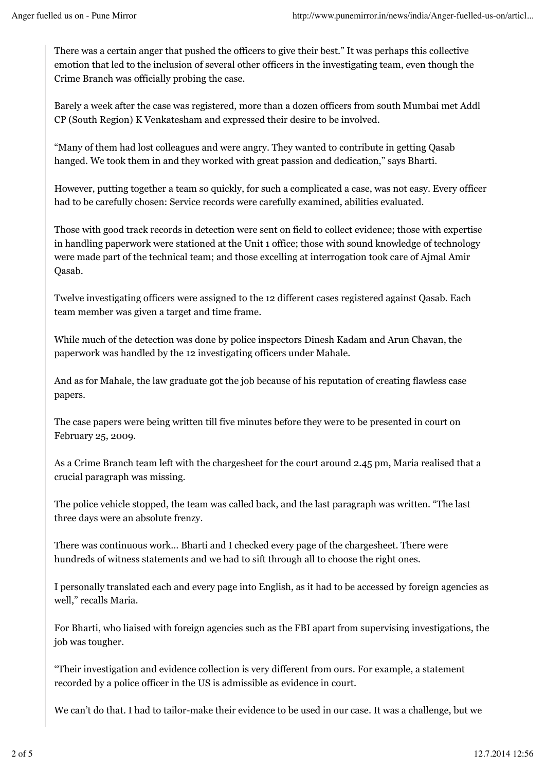There was a certain anger that pushed the officers to give their best." It was perhaps this collective emotion that led to the inclusion of several other officers in the investigating team, even though the Crime Branch was officially probing the case.

Barely a week after the case was registered, more than a dozen officers from south Mumbai met Addl CP (South Region) K Venkatesham and expressed their desire to be involved.

"Many of them had lost colleagues and were angry. They wanted to contribute in getting Qasab hanged. We took them in and they worked with great passion and dedication," says Bharti.

However, putting together a team so quickly, for such a complicated a case, was not easy. Every officer had to be carefully chosen: Service records were carefully examined, abilities evaluated.

Those with good track records in detection were sent on field to collect evidence; those with expertise in handling paperwork were stationed at the Unit 1 office; those with sound knowledge of technology were made part of the technical team; and those excelling at interrogation took care of Ajmal Amir Qasab.

Twelve investigating officers were assigned to the 12 different cases registered against Qasab. Each team member was given a target and time frame.

While much of the detection was done by police inspectors Dinesh Kadam and Arun Chavan, the paperwork was handled by the 12 investigating officers under Mahale.

And as for Mahale, the law graduate got the job because of his reputation of creating flawless case papers.

The case papers were being written till five minutes before they were to be presented in court on February 25, 2009.

As a Crime Branch team left with the chargesheet for the court around 2.45 pm, Maria realised that a crucial paragraph was missing.

The police vehicle stopped, the team was called back, and the last paragraph was written. "The last three days were an absolute frenzy.

There was continuous work… Bharti and I checked every page of the chargesheet. There were hundreds of witness statements and we had to sift through all to choose the right ones.

I personally translated each and every page into English, as it had to be accessed by foreign agencies as well," recalls Maria.

For Bharti, who liaised with foreign agencies such as the FBI apart from supervising investigations, the job was tougher.

"Their investigation and evidence collection is very different from ours. For example, a statement recorded by a police officer in the US is admissible as evidence in court.

We can't do that. I had to tailor-make their evidence to be used in our case. It was a challenge, but we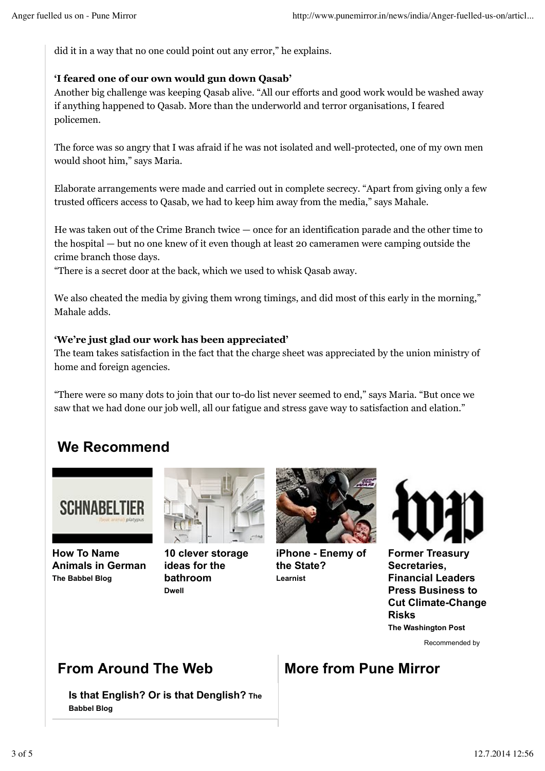did it in a way that no one could point out any error," he explains.

#### **'I feared one of our own would gun down Qasab'**

Another big challenge was keeping Qasab alive. "All our efforts and good work would be washed away if anything happened to Qasab. More than the underworld and terror organisations, I feared policemen.

The force was so angry that I was afraid if he was not isolated and well-protected, one of my own men would shoot him," says Maria.

Elaborate arrangements were made and carried out in complete secrecy. "Apart from giving only a few trusted officers access to Qasab, we had to keep him away from the media," says Mahale.

He was taken out of the Crime Branch twice — once for an identification parade and the other time to the hospital — but no one knew of it even though at least 20 cameramen were camping outside the crime branch those days.

"There is a secret door at the back, which we used to whisk Qasab away.

We also cheated the media by giving them wrong timings, and did most of this early in the morning," Mahale adds.

#### **'We're just glad our work has been appreciated'**

The team takes satisfaction in the fact that the charge sheet was appreciated by the union ministry of home and foreign agencies.

"There were so many dots to join that our to-do list never seemed to end," says Maria. "But once we saw that we had done our job well, all our fatigue and stress gave way to satisfaction and elation."

# **We Recommend**



**How To Name Animals in German The Babbel Blog**



**10 clever storage ideas for the bathroom Dwell**



**iPhone - Enemy of the State? Learnist**



**Former Treasury Secretaries, Financial Leaders Press Business to Cut Climate-Change Risks The Washington Post**

Recommended by

### **From Around The Web**

**Is that English? Or is that Denglish? The Babbel Blog**

# **More from Pune Mirror**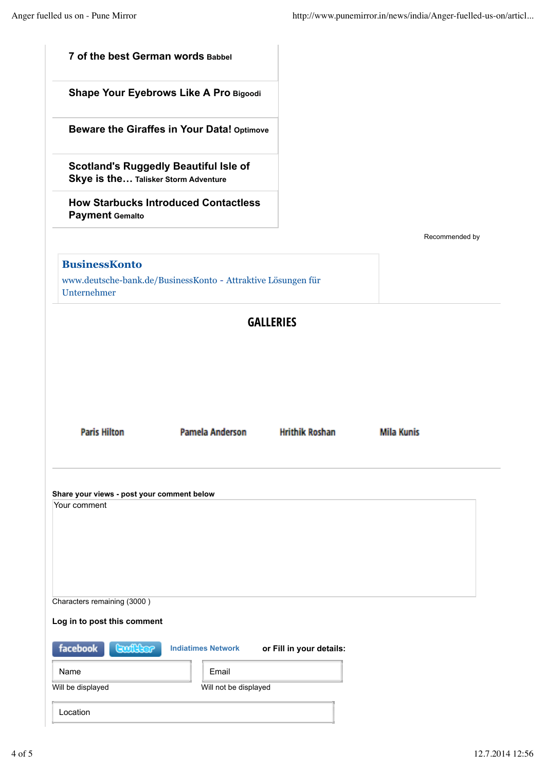| 7 of the best German words Babbel          |                                                              |                          |                   |
|--------------------------------------------|--------------------------------------------------------------|--------------------------|-------------------|
|                                            | Shape Your Eyebrows Like A Pro Bigoodi                       |                          |                   |
|                                            | <b>Beware the Giraffes in Your Data! Optimove</b>            |                          |                   |
| Skye is the Talisker Storm Adventure       | <b>Scotland's Ruggedly Beautiful Isle of</b>                 |                          |                   |
| <b>Payment Gemalto</b>                     | <b>How Starbucks Introduced Contactless</b>                  |                          |                   |
|                                            |                                                              |                          | Recommended by    |
| <b>BusinessKonto</b><br>Unternehmer        | www.deutsche-bank.de/BusinessKonto - Attraktive Lösungen für |                          |                   |
|                                            |                                                              | <b>GALLERIES</b>         |                   |
|                                            |                                                              |                          |                   |
|                                            |                                                              |                          |                   |
| <b>Paris Hilton</b>                        | <b>Pamela Anderson</b>                                       | <b>Hrithik Roshan</b>    | <b>Mila Kunis</b> |
|                                            |                                                              |                          |                   |
| Share your views - post your comment below |                                                              |                          |                   |
| Your comment                               |                                                              |                          |                   |
| Characters remaining (3000)                |                                                              |                          |                   |
| Log in to post this comment                |                                                              |                          |                   |
|                                            | <b>Indiatimes Network</b>                                    |                          |                   |
| facebook<br><b>Guiller</b>                 |                                                              | or Fill in your details: |                   |
| Name<br>Will be displayed                  | Email<br>Will not be displayed                               |                          |                   |